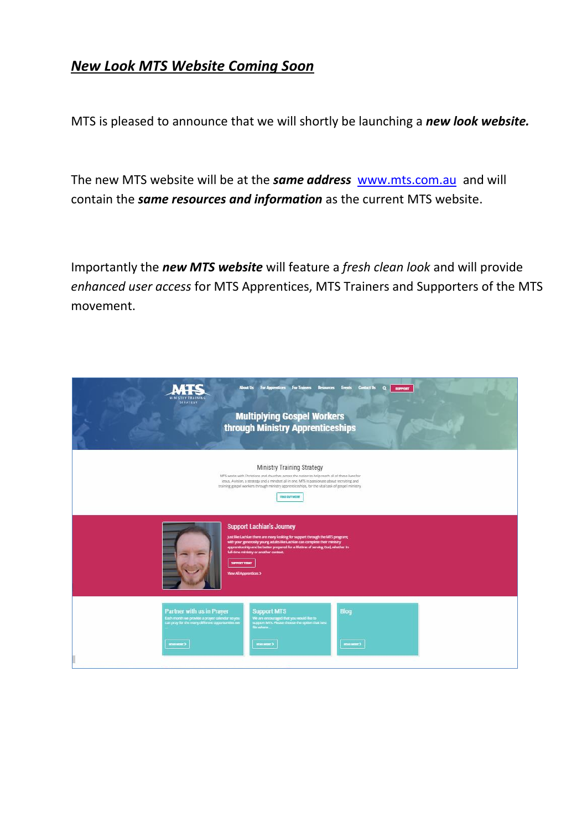# *New Look MTS Website Coming Soon*

MTS is pleased to announce that we will shortly be launching a *new look website.*

The new MTS website will be at the *same address* [www.mts.com.au](http://www.mts.com.au/) and will contain the *same resources and information* as the current MTS website.

Importantly the *new MTS website* will feature a *fresh clean look* and will provide *enhanced user access* for MTS Apprentices, MTS Trainers and Supporters of the MTS movement.

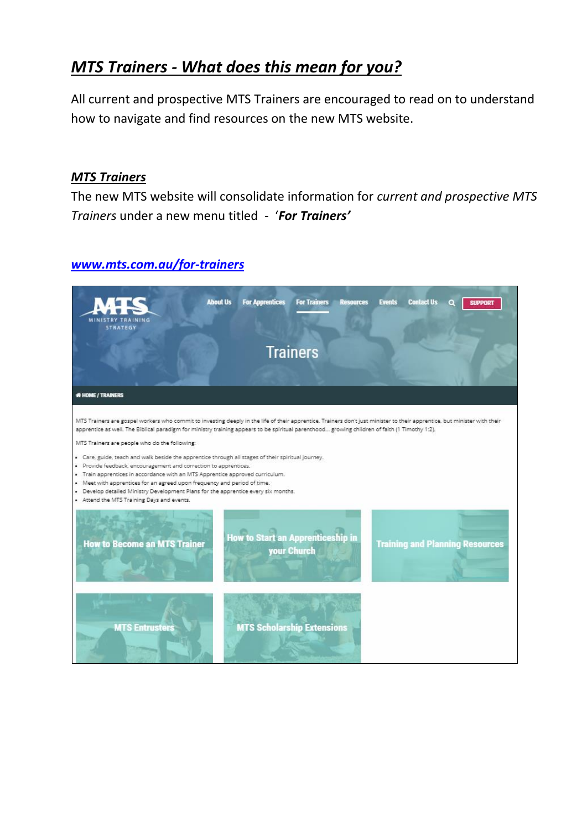# *MTS Trainers - What does this mean for you?*

All current and prospective MTS Trainers are encouraged to read on to understand how to navigate and find resources on the new MTS website.

#### *MTS Trainers*

The new MTS website will consolidate information for *current and prospective MTS Trainers* under a new menu titled - '*For Trainers'* 

### *[www.mts.com.au/for-trainers](http://www.mts.com.au/for-trainers)*

| <b>STRATEGY</b>                                                                                                                                                                                                                                                                                                                                                                                                                                                                                                          | <b>About Us</b><br><b>For Apprentices</b> | <b>For Trainers</b><br><b>Resources</b>                 | <b>Contact Us</b><br><b>Events</b>     | <b>SUPPORT</b> |
|--------------------------------------------------------------------------------------------------------------------------------------------------------------------------------------------------------------------------------------------------------------------------------------------------------------------------------------------------------------------------------------------------------------------------------------------------------------------------------------------------------------------------|-------------------------------------------|---------------------------------------------------------|----------------------------------------|----------------|
|                                                                                                                                                                                                                                                                                                                                                                                                                                                                                                                          |                                           | <b>Trainers</b>                                         |                                        |                |
| <b># HOME / TRAINERS</b>                                                                                                                                                                                                                                                                                                                                                                                                                                                                                                 |                                           |                                                         |                                        |                |
| MTS Trainers are gospel workers who commit to investing deeply in the life of their apprentice. Trainers don't just minister to their apprentice, but minister with their<br>apprentice as well. The Biblical paradigm for ministry training appears to be spiritual parenthood growing children of faith (1 Timothy 1:2).                                                                                                                                                                                               |                                           |                                                         |                                        |                |
| MTS Trainers are people who do the following:<br>. Care, guide, teach and walk beside the apprentice through all stages of their spiritual journey.<br>· Provide feedback, encouragement and correction to apprentices.<br>. Train apprentices in accordance with an MTS Apprentice approved curriculum.<br>• Meet with apprentices for an agreed upon frequency and period of time.<br>. Develop detailed Ministry Development Plans for the apprentice every six months.<br>• Attend the MTS Training Days and events. |                                           |                                                         |                                        |                |
| <b>How to Become an MTS Trainer</b>                                                                                                                                                                                                                                                                                                                                                                                                                                                                                      |                                           | <b>How to Start an Apprenticeship in</b><br>your Church | <b>Training and Planning Resources</b> |                |
| <b>MTS Entrusters</b>                                                                                                                                                                                                                                                                                                                                                                                                                                                                                                    |                                           | <b>MTS Scholarship Extensions</b>                       |                                        |                |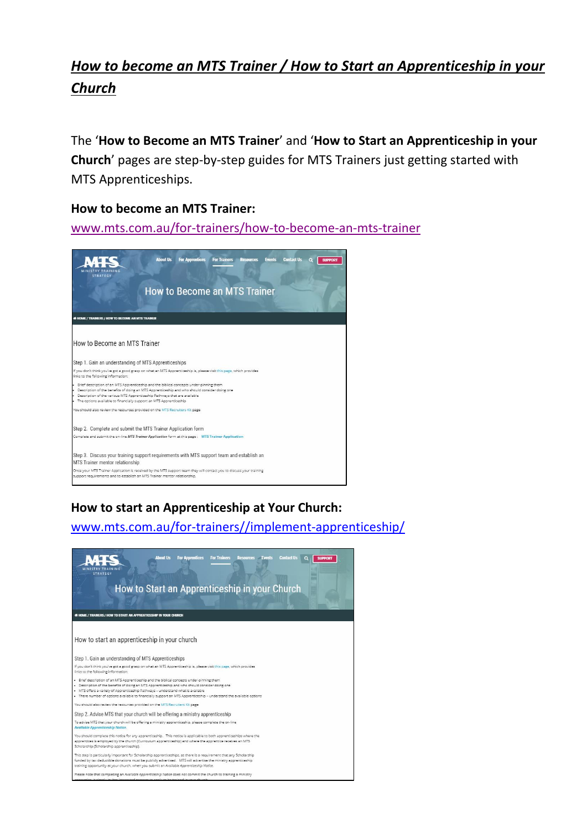# *How to become an MTS Trainer / How to Start an Apprenticeship in your Church*

The '**How to Become an MTS Trainer**' and '**How to Start an Apprenticeship in your Church**' pages are step-by-step guides for MTS Trainers just getting started with MTS Apprenticeships.

#### **How to become an MTS Trainer:**

[www.mts.com.au/for-trainers/how-to-become-an-mts-trainer](http://www.mts.com.au/for-trainers/how-to-become-an-mts-trainer)



## **How to start an Apprenticeship at Your Church:**

[www.mts.com.au/for-trainers//implement-apprenticeship/](http://www.mts.com.au/for-trainers/how-to-become-an-mts-trainer)

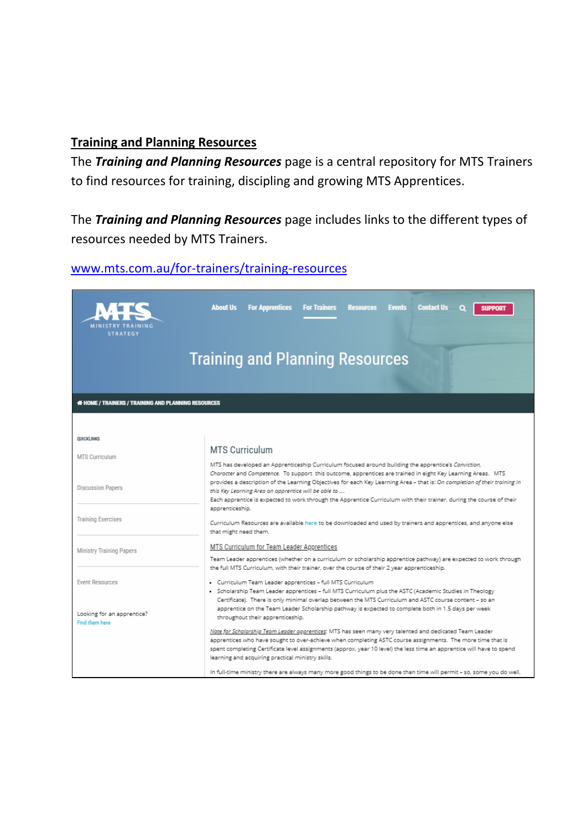#### **Training and Planning Resources**

The *Training and Planning Resources* page is a central repository for MTS Trainers to find resources for training, discipling and growing MTS Apprentices.

The *Training and Planning Resources* page includes links to the different types of resources needed by MTS Trainers.

# [www.mts.com.au/for-trainers/training-resources](http://www.mts.com.au/for-trainers/training-resources)

| <b>Training and Planning Resources</b>                                                                                                                                                                                                                                                                                                                                                                                                                                                                                                                    |  |  |  |
|-----------------------------------------------------------------------------------------------------------------------------------------------------------------------------------------------------------------------------------------------------------------------------------------------------------------------------------------------------------------------------------------------------------------------------------------------------------------------------------------------------------------------------------------------------------|--|--|--|
|                                                                                                                                                                                                                                                                                                                                                                                                                                                                                                                                                           |  |  |  |
|                                                                                                                                                                                                                                                                                                                                                                                                                                                                                                                                                           |  |  |  |
|                                                                                                                                                                                                                                                                                                                                                                                                                                                                                                                                                           |  |  |  |
| <b>MTS Curriculum</b><br>MTS has developed an Apprenticeship Curriculum focused around building the apprentice's Conviction,<br>Character and Competence. To support this outcome, apprentices are trained in eight Key Learning Areas. MTS<br>provides a description of the Learning Objectives for each Key Learning Area - that is: On completion of their training in<br>this Key Learning Area an apprentice will be able to<br>Each apprentice is expected to work through the Apprentice Curriculum with their trainer, during the course of their |  |  |  |
|                                                                                                                                                                                                                                                                                                                                                                                                                                                                                                                                                           |  |  |  |
| MTS Curriculum for Team Leader Apprentices<br>Team Leader apprentices (whether on a curriculum or scholarship apprentice pathway) are expected to work through<br>the full MTS Curriculum, with their trainer, over the course of their 2 year apprenticeship.                                                                                                                                                                                                                                                                                            |  |  |  |
| · Curriculum Team Leader apprentices - full MTS Curriculum<br>· Scholarship Team Leader apprentices - full MTS Curriculum plus the ASTC (Academic Studies in Theology<br>Certificate). There is only minimal overlap between the MTS Curriculum and ASTC course content - so an<br>apprentice on the Team Leader Scholarship pathway is expected to complete both in 1.5 days per week<br>throughout their apprenticeship.                                                                                                                                |  |  |  |
| Note for Scholarship Team Leader apprentices: MTS has seen many very talented and dedicated Team Leader<br>apprentices who have sought to over-achieve when completing ASTC course assignments. The more time that is<br>spent completing Certificate level assignments (approx, year 10 level) the less time an apprentice will have to spend<br>learning and acquiring practical ministry skills.                                                                                                                                                       |  |  |  |
|                                                                                                                                                                                                                                                                                                                                                                                                                                                                                                                                                           |  |  |  |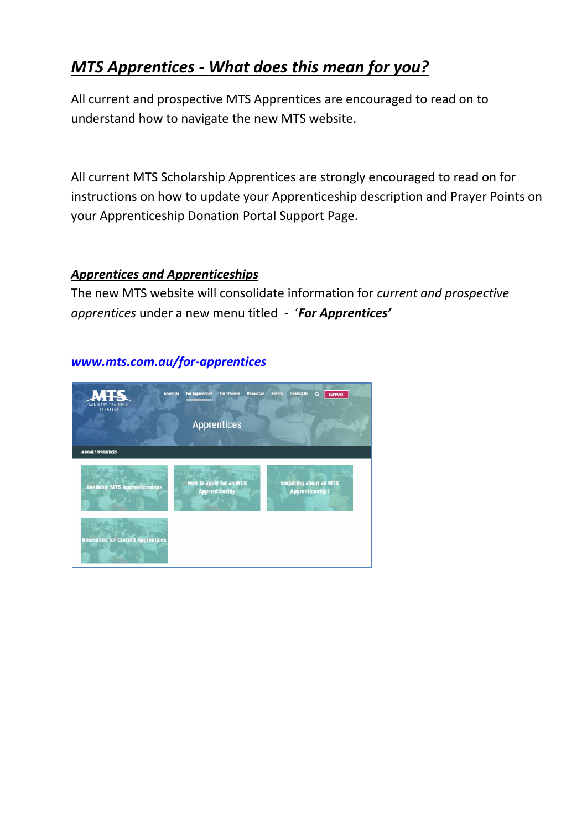# *MTS Apprentices - What does this mean for you?*

All current and prospective MTS Apprentices are encouraged to read on to understand how to navigate the new MTS website.

All current MTS Scholarship Apprentices are strongly encouraged to read on for instructions on how to update your Apprenticeship description and Prayer Points on your Apprenticeship Donation Portal Support Page.

### *Apprentices and Apprenticeships*

The new MTS website will consolidate information for *current and prospective apprentices* under a new menu titled - '*For Apprentices'* 



### *[www.mts.com.au/for-apprentices](http://www.mts.com.au/for-apprentices)*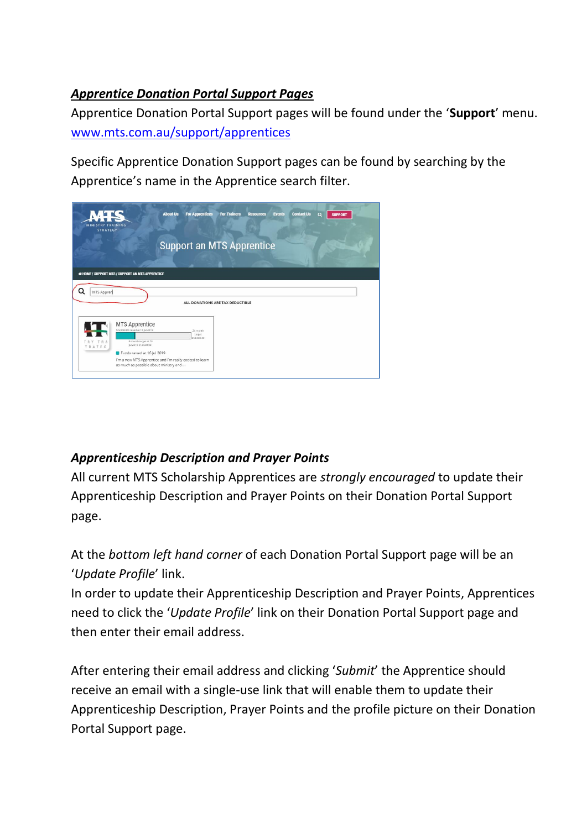## *Apprentice Donation Portal Support Pages*

Apprentice Donation Portal Support pages will be found under the '**Support**' menu. [www.mts.com.au/support/apprentices](http://www.mts.com.au/support/apprentices)

Specific Apprentice Donation Support pages can be found by searching by the Apprentice's name in the Apprentice search filter.

| <b>MINISTRY TRAINING</b><br><b>STRATEGY</b> | $\blacksquare$<br><b>About Us</b>                                                                                                                                                                                                        | <b>For Apprentices</b>           | <b>For Trainers</b> | <b>Resources</b> | <b>Contact Us</b><br><b>Events</b> | $\alpha$<br><b>SUPPORT</b> |  |
|---------------------------------------------|------------------------------------------------------------------------------------------------------------------------------------------------------------------------------------------------------------------------------------------|----------------------------------|---------------------|------------------|------------------------------------|----------------------------|--|
|                                             |                                                                                                                                                                                                                                          | <b>Support an MTS Apprentice</b> |                     |                  |                                    |                            |  |
|                                             | <b># HOME / SUPPORT MTS / SUPPORT AN MTS APPRENTICE</b>                                                                                                                                                                                  |                                  |                     |                  |                                    |                            |  |
| Q<br>MTS Appren                             |                                                                                                                                                                                                                                          | ALL DONATIONS ARE TAX DEDUCTIBLE |                     |                  |                                    |                            |  |
| TRY TRA<br>TRATEG                           | MTS Apprentice<br>\$12,800.00 raised at 16 Jul 2019<br>6 month target at 16<br>Jul 2019 \$12,500.00<br>Funds raised at 16 Jul 2019<br>I'm a new MTS Apprentice and I'm really excited to learn<br>as much as possible about ministry and | 24 month<br>target<br>50,000.00  |                     |                  |                                    |                            |  |

# *Apprenticeship Description and Prayer Points*

All current MTS Scholarship Apprentices are *strongly encouraged* to update their Apprenticeship Description and Prayer Points on their Donation Portal Support page.

At the *bottom left hand corner* of each Donation Portal Support page will be an '*Update Profile*' link.

In order to update their Apprenticeship Description and Prayer Points, Apprentices need to click the '*Update Profile*' link on their Donation Portal Support page and then enter their email address.

After entering their email address and clicking '*Submit*' the Apprentice should receive an email with a single-use link that will enable them to update their Apprenticeship Description, Prayer Points and the profile picture on their Donation Portal Support page.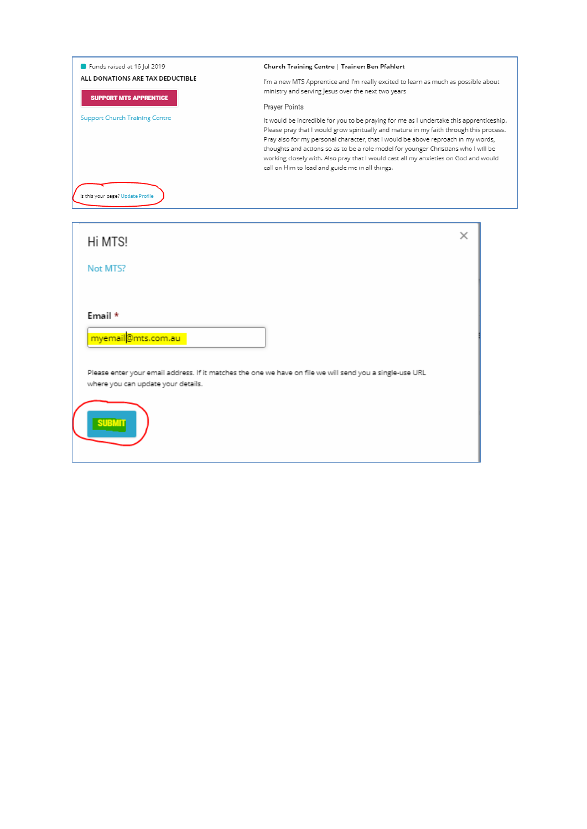| Funds raised at 16 Jul 2019                                                                                                                    | Church Training Centre   Trainer: Ben Pfahlert                                                                                                                                                                                                                                                                                                                                                                                                                                                        |  |  |  |  |
|------------------------------------------------------------------------------------------------------------------------------------------------|-------------------------------------------------------------------------------------------------------------------------------------------------------------------------------------------------------------------------------------------------------------------------------------------------------------------------------------------------------------------------------------------------------------------------------------------------------------------------------------------------------|--|--|--|--|
| ALL DONATIONS ARE TAX DEDUCTIBLE<br><b>SUPPORT MTS APPRENTICE</b>                                                                              | I'm a new MTS Apprentice and I'm really excited to learn as much as possible about<br>ministry and serving Jesus over the next two years                                                                                                                                                                                                                                                                                                                                                              |  |  |  |  |
|                                                                                                                                                | Prayer Points                                                                                                                                                                                                                                                                                                                                                                                                                                                                                         |  |  |  |  |
| <b>Support Church Training Centre</b>                                                                                                          | It would be incredible for you to be praying for me as I undertake this apprenticeship.<br>Please pray that I would grow spiritually and mature in my faith through this process.<br>Pray also for my personal character, that I would be above reproach in my words,<br>thoughts and actions so as to be a role model for younger Christians who I will be<br>working closely with. Also pray that I would cast all my anxieties on God and would<br>call on Him to lead and guide me in all things. |  |  |  |  |
| Is this your page? Update Profile                                                                                                              |                                                                                                                                                                                                                                                                                                                                                                                                                                                                                                       |  |  |  |  |
| Hi MTS!                                                                                                                                        | ×                                                                                                                                                                                                                                                                                                                                                                                                                                                                                                     |  |  |  |  |
| Not MTS?                                                                                                                                       |                                                                                                                                                                                                                                                                                                                                                                                                                                                                                                       |  |  |  |  |
| Email *<br>myemail@mts.com.au                                                                                                                  |                                                                                                                                                                                                                                                                                                                                                                                                                                                                                                       |  |  |  |  |
| Please enter your email address. If it matches the one we have on file we will send you a single-use URL<br>where you can update your details. |                                                                                                                                                                                                                                                                                                                                                                                                                                                                                                       |  |  |  |  |
| SUBMIT                                                                                                                                         |                                                                                                                                                                                                                                                                                                                                                                                                                                                                                                       |  |  |  |  |